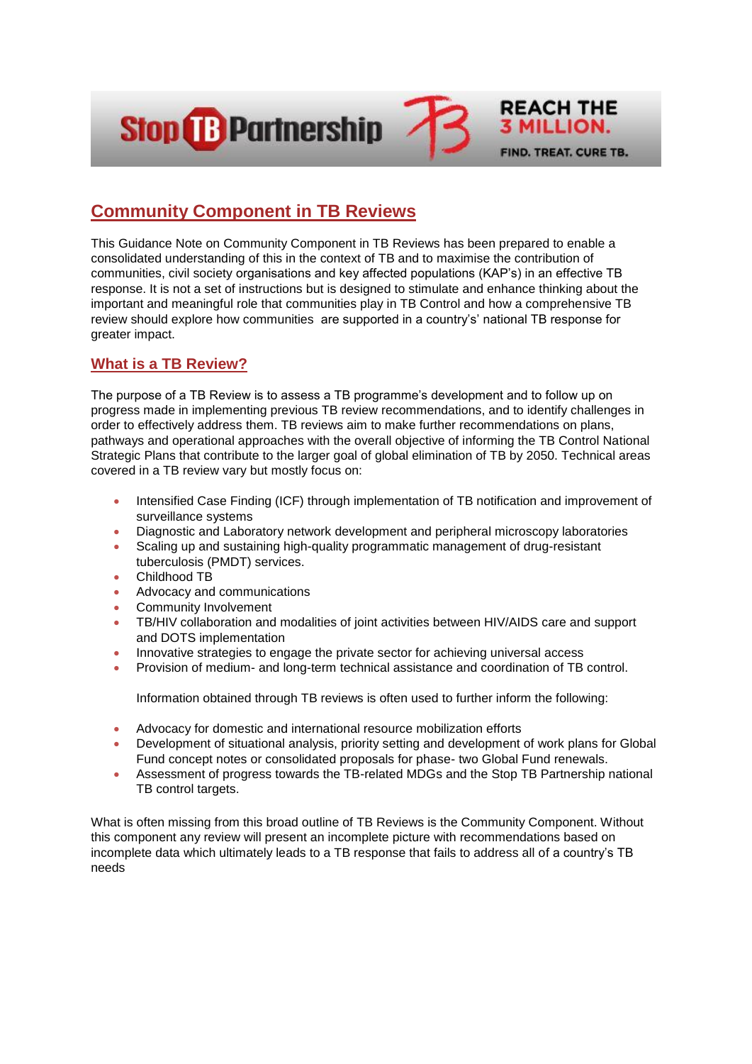

# **Community Component in TB Reviews**

This Guidance Note on Community Component in TB Reviews has been prepared to enable a consolidated understanding of this in the context of TB and to maximise the contribution of communities, civil society organisations and key affected populations (KAP's) in an effective TB response. It is not a set of instructions but is designed to stimulate and enhance thinking about the important and meaningful role that communities play in TB Control and how a comprehensive TB review should explore how communities are supported in a country's' national TB response for greater impact.

# **What is a TB Review?**

The purpose of a TB Review is to assess a TB programme's development and to follow up on progress made in implementing previous TB review recommendations, and to identify challenges in order to effectively address them. TB reviews aim to make further recommendations on plans, pathways and operational approaches with the overall objective of informing the TB Control National Strategic Plans that contribute to the larger goal of global elimination of TB by 2050. Technical areas covered in a TB review vary but mostly focus on:

- Intensified Case Finding (ICF) through implementation of TB notification and improvement of surveillance systems
- Diagnostic and Laboratory network development and peripheral microscopy laboratories
- Scaling up and sustaining high-quality programmatic management of drug-resistant tuberculosis (PMDT) services.
- Childhood TB
- Advocacy and communications
- Community Involvement
- TB/HIV collaboration and modalities of joint activities between HIV/AIDS care and support and DOTS implementation
- Innovative strategies to engage the private sector for achieving universal access
- **•** Provision of medium- and long-term technical assistance and coordination of TB control.

Information obtained through TB reviews is often used to further inform the following:

- Advocacy for domestic and international resource mobilization efforts
- Development of situational analysis, priority setting and development of work plans for Global Fund concept notes or consolidated proposals for phase- two Global Fund renewals.
- Assessment of progress towards the TB-related MDGs and the Stop TB Partnership national TB control targets.

What is often missing from this broad outline of TB Reviews is the Community Component. Without this component any review will present an incomplete picture with recommendations based on incomplete data which ultimately leads to a TB response that fails to address all of a country's TB needs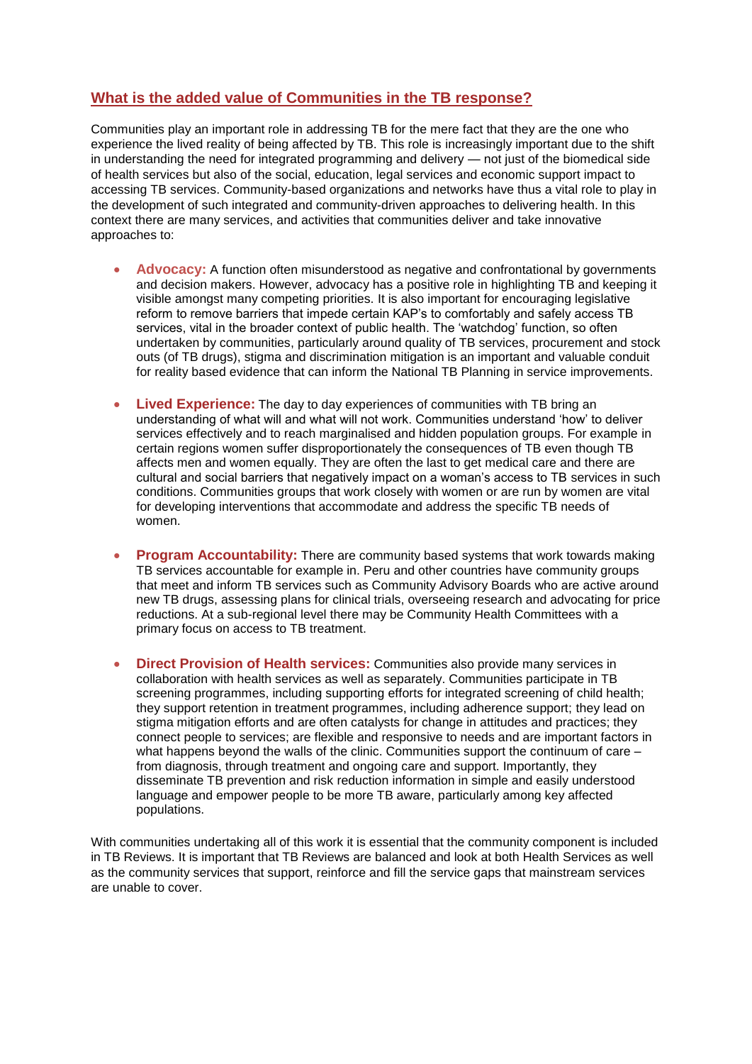# **What is the added value of Communities in the TB response?**

Communities play an important role in addressing TB for the mere fact that they are the one who experience the lived reality of being affected by TB. This role is increasingly important due to the shift in understanding the need for integrated programming and delivery — not just of the biomedical side of health services but also of the social, education, legal services and economic support impact to accessing TB services. Community-based organizations and networks have thus a vital role to play in the development of such integrated and community-driven approaches to delivering health. In this context there are many services, and activities that communities deliver and take innovative approaches to:

- **Advocacy:** A function often misunderstood as negative and confrontational by governments and decision makers. However, advocacy has a positive role in highlighting TB and keeping it visible amongst many competing priorities. It is also important for encouraging legislative reform to remove barriers that impede certain KAP's to comfortably and safely access TB services, vital in the broader context of public health. The 'watchdog' function, so often undertaken by communities, particularly around quality of TB services, procurement and stock outs (of TB drugs), stigma and discrimination mitigation is an important and valuable conduit for reality based evidence that can inform the National TB Planning in service improvements.
- **Lived Experience:** The day to day experiences of communities with TB bring an understanding of what will and what will not work. Communities understand 'how' to deliver services effectively and to reach marginalised and hidden population groups. For example in certain regions women suffer disproportionately the consequences of TB even though TB affects men and women equally. They are often the last to get medical care and there are cultural and social barriers that negatively impact on a woman's access to TB services in such conditions. Communities groups that work closely with women or are run by women are vital for developing interventions that accommodate and address the specific TB needs of women.
- **Program Accountability:** There are community based systems that work towards making TB services accountable for example in. Peru and other countries have community groups that meet and inform TB services such as Community Advisory Boards who are active around new TB drugs, assessing plans for clinical trials, overseeing research and advocating for price reductions. At a sub-regional level there may be Community Health Committees with a primary focus on access to TB treatment.
- **Direct Provision of Health services:** Communities also provide many services in collaboration with health services as well as separately. Communities participate in TB screening programmes, including supporting efforts for integrated screening of child health; they support retention in treatment programmes, including adherence support; they lead on stigma mitigation efforts and are often catalysts for change in attitudes and practices; they connect people to services; are flexible and responsive to needs and are important factors in what happens beyond the walls of the clinic. Communities support the continuum of care – from diagnosis, through treatment and ongoing care and support. Importantly, they disseminate TB prevention and risk reduction information in simple and easily understood language and empower people to be more TB aware, particularly among key affected populations.

With communities undertaking all of this work it is essential that the community component is included in TB Reviews. It is important that TB Reviews are balanced and look at both Health Services as well as the community services that support, reinforce and fill the service gaps that mainstream services are unable to cover.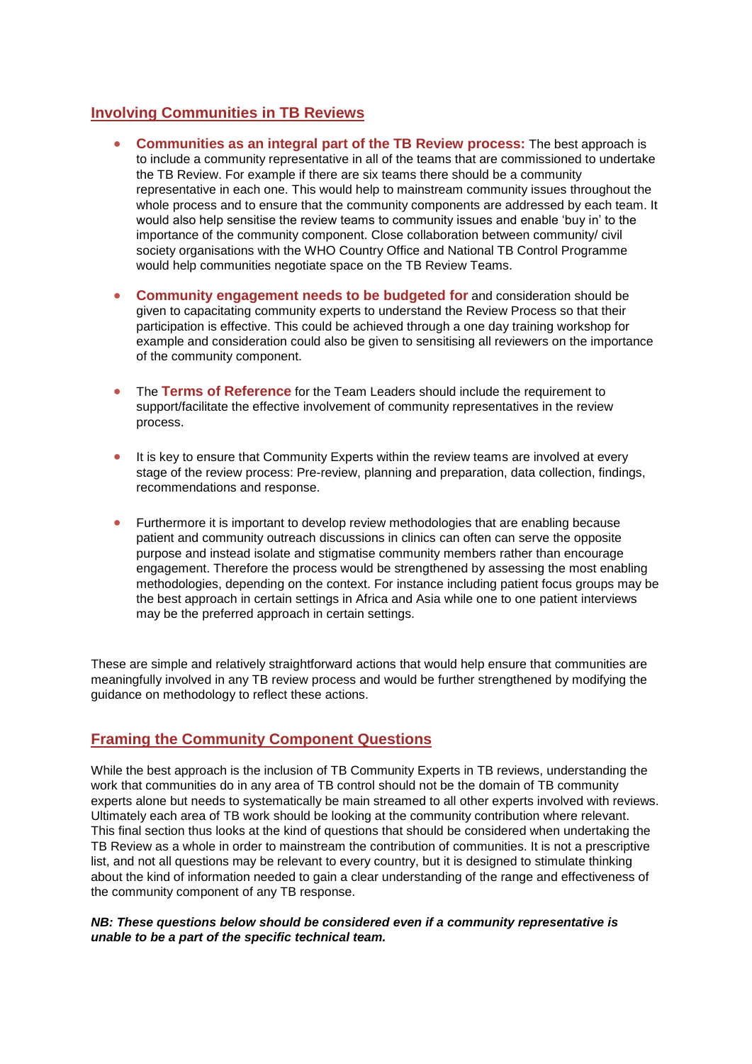# **Involving Communities in TB Reviews**

- **Communities as an integral part of the TB Review process:** The best approach is to include a community representative in all of the teams that are commissioned to undertake the TB Review. For example if there are six teams there should be a community representative in each one. This would help to mainstream community issues throughout the whole process and to ensure that the community components are addressed by each team. It would also help sensitise the review teams to community issues and enable 'buy in' to the importance of the community component. Close collaboration between community/ civil society organisations with the WHO Country Office and National TB Control Programme would help communities negotiate space on the TB Review Teams.
- **Community engagement needs to be budgeted for** and consideration should be given to capacitating community experts to understand the Review Process so that their participation is effective. This could be achieved through a one day training workshop for example and consideration could also be given to sensitising all reviewers on the importance of the community component.
- **•** The Terms of Reference for the Team Leaders should include the requirement to support/facilitate the effective involvement of community representatives in the review process.
- It is key to ensure that Community Experts within the review teams are involved at every stage of the review process: Pre-review, planning and preparation, data collection, findings, recommendations and response.
- Furthermore it is important to develop review methodologies that are enabling because patient and community outreach discussions in clinics can often can serve the opposite purpose and instead isolate and stigmatise community members rather than encourage engagement. Therefore the process would be strengthened by assessing the most enabling methodologies, depending on the context. For instance including patient focus groups may be the best approach in certain settings in Africa and Asia while one to one patient interviews may be the preferred approach in certain settings.

These are simple and relatively straightforward actions that would help ensure that communities are meaningfully involved in any TB review process and would be further strengthened by modifying the guidance on methodology to reflect these actions.

# **Framing the Community Component Questions**

While the best approach is the inclusion of TB Community Experts in TB reviews, understanding the work that communities do in any area of TB control should not be the domain of TB community experts alone but needs to systematically be main streamed to all other experts involved with reviews. Ultimately each area of TB work should be looking at the community contribution where relevant. This final section thus looks at the kind of questions that should be considered when undertaking the TB Review as a whole in order to mainstream the contribution of communities. It is not a prescriptive list, and not all questions may be relevant to every country, but it is designed to stimulate thinking about the kind of information needed to gain a clear understanding of the range and effectiveness of the community component of any TB response.

#### *NB: These questions below should be considered even if a community representative is unable to be a part of the specific technical team.*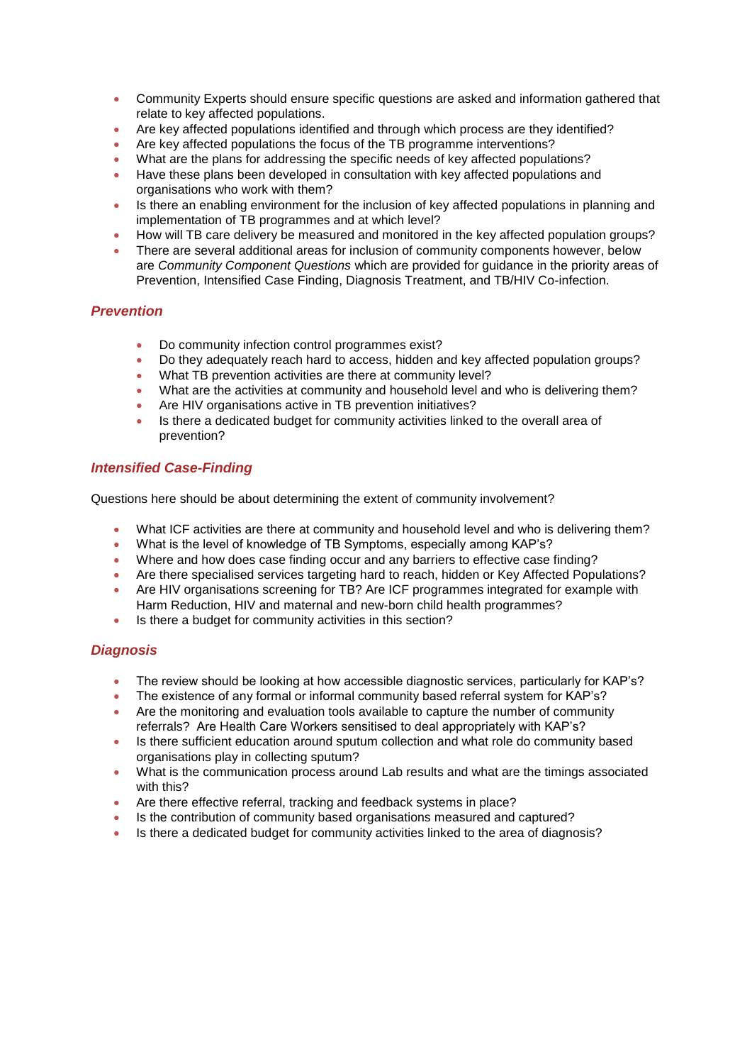- Community Experts should ensure specific questions are asked and information gathered that relate to key affected populations.
- Are key affected populations identified and through which process are they identified?
- Are key affected populations the focus of the TB programme interventions?
- What are the plans for addressing the specific needs of key affected populations?
- Have these plans been developed in consultation with key affected populations and organisations who work with them?
- Is there an enabling environment for the inclusion of key affected populations in planning and implementation of TB programmes and at which level?
- How will TB care delivery be measured and monitored in the key affected population groups?
- There are several additional areas for inclusion of community components however, below are *Community Component Questions* which are provided for guidance in the priority areas of Prevention, Intensified Case Finding, Diagnosis Treatment, and TB/HIV Co-infection.

## *Prevention*

- Do community infection control programmes exist?
- Do they adequately reach hard to access, hidden and key affected population groups?
- What TB prevention activities are there at community level?
- What are the activities at community and household level and who is delivering them?
- Are HIV organisations active in TB prevention initiatives?
- Is there a dedicated budget for community activities linked to the overall area of prevention?

## *Intensified Case-Finding*

Questions here should be about determining the extent of community involvement?

- What ICF activities are there at community and household level and who is delivering them?
- What is the level of knowledge of TB Symptoms, especially among KAP's?
- Where and how does case finding occur and any barriers to effective case finding?
- Are there specialised services targeting hard to reach, hidden or Key Affected Populations?
- Are HIV organisations screening for TB? Are ICF programmes integrated for example with Harm Reduction, HIV and maternal and new-born child health programmes?
- Is there a budget for community activities in this section?

## *Diagnosis*

- The review should be looking at how accessible diagnostic services, particularly for KAP's?
- The existence of any formal or informal community based referral system for KAP's?
- Are the monitoring and evaluation tools available to capture the number of community referrals? Are Health Care Workers sensitised to deal appropriately with KAP's?
- Is there sufficient education around sputum collection and what role do community based organisations play in collecting sputum?
- What is the communication process around Lab results and what are the timings associated with this?
- Are there effective referral, tracking and feedback systems in place?
- Is the contribution of community based organisations measured and captured?
- Is there a dedicated budget for community activities linked to the area of diagnosis?